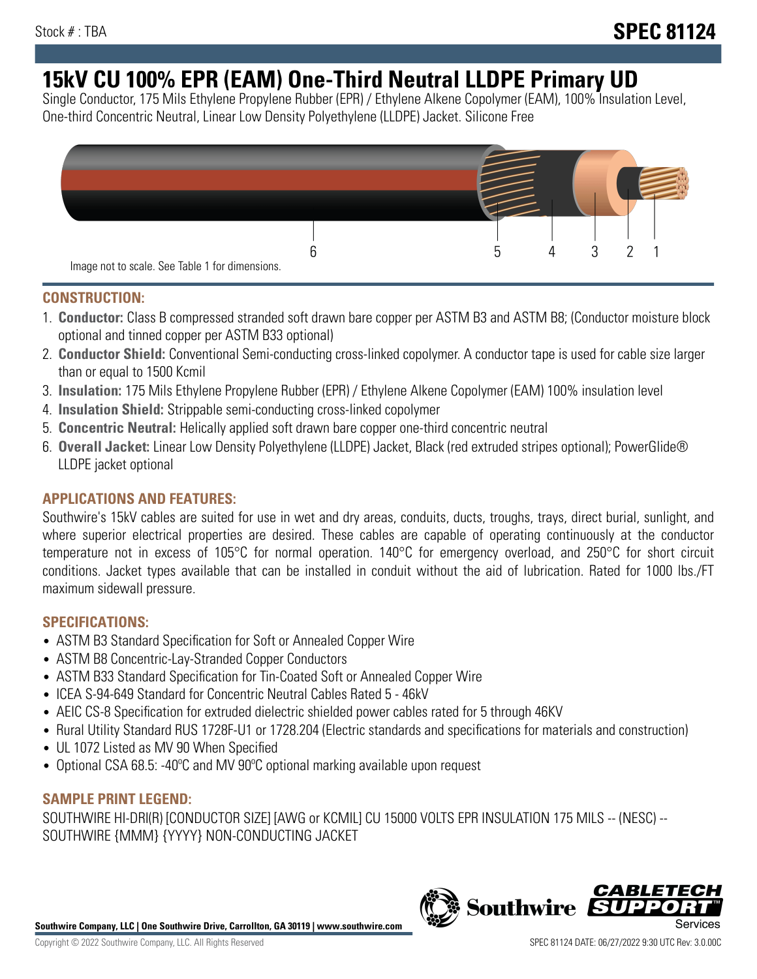# **15kV CU 100% EPR (EAM) One-Third Neutral LLDPE Primary UD**

Single Conductor, 175 Mils Ethylene Propylene Rubber (EPR) / Ethylene Alkene Copolymer (EAM), 100% Insulation Level, One-third Concentric Neutral, Linear Low Density Polyethylene (LLDPE) Jacket. Silicone Free



## **CONSTRUCTION:**

- 1. **Conductor:** Class B compressed stranded soft drawn bare copper per ASTM B3 and ASTM B8; (Conductor moisture block optional and tinned copper per ASTM B33 optional)
- 2. **Conductor Shield:** Conventional Semi-conducting cross-linked copolymer. A conductor tape is used for cable size larger than or equal to 1500 Kcmil
- 3. **Insulation:** 175 Mils Ethylene Propylene Rubber (EPR) / Ethylene Alkene Copolymer (EAM) 100% insulation level
- 4. **Insulation Shield:** Strippable semi-conducting cross-linked copolymer
- 5. **Concentric Neutral:** Helically applied soft drawn bare copper one-third concentric neutral
- 6. **Overall Jacket:** Linear Low Density Polyethylene (LLDPE) Jacket, Black (red extruded stripes optional); PowerGlide® LLDPE jacket optional

## **APPLICATIONS AND FEATURES:**

Southwire's 15kV cables are suited for use in wet and dry areas, conduits, ducts, troughs, trays, direct burial, sunlight, and where superior electrical properties are desired. These cables are capable of operating continuously at the conductor temperature not in excess of 105°C for normal operation. 140°C for emergency overload, and 250°C for short circuit conditions. Jacket types available that can be installed in conduit without the aid of lubrication. Rated for 1000 lbs./FT maximum sidewall pressure.

## **SPECIFICATIONS:**

- ASTM B3 Standard Specification for Soft or Annealed Copper Wire
- ASTM B8 Concentric-Lay-Stranded Copper Conductors
- ASTM B33 Standard Specification for Tin-Coated Soft or Annealed Copper Wire
- ICEA S-94-649 Standard for Concentric Neutral Cables Rated 5 46kV
- AEIC CS-8 Specification for extruded dielectric shielded power cables rated for 5 through 46KV
- Rural Utility Standard RUS 1728F-U1 or 1728.204 (Electric standards and specifications for materials and construction)
- UL 1072 Listed as MV 90 When Specified
- Optional CSA 68.5: -40°C and MV 90°C optional marking available upon request

# **SAMPLE PRINT LEGEND:**

SOUTHWIRE HI-DRI(R) [CONDUCTOR SIZE] [AWG or KCMIL] CU 15000 VOLTS EPR INSULATION 175 MILS -- (NESC) -- SOUTHWIRE {MMM} {YYYY} NON-CONDUCTING JACKET

**Southwire Company, LLC | One Southwire Drive, Carrollton, GA 30119 | www.southwire.com**